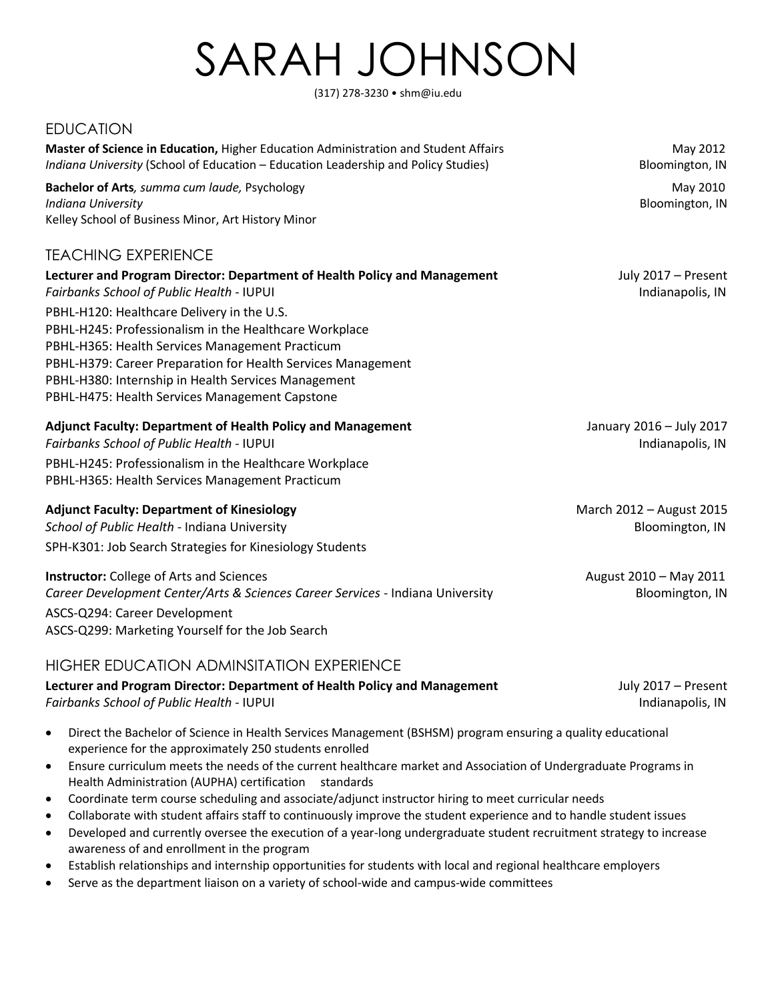# SARAH JOHNSON

(317) 278-3230 • shm@iu.edu

## EDUCATION

**Master of Science in Education,** Higher Education Administration and Student Affairs **Manual Administration** May 2012 *Indiana University* (School of Education – Education Leadership and Policy Studies) Bloomington, IN **Bachelor of Arts**, summa cum laude, Psychology May 2010 *Indiana University*Bloomington, IN Kelley School of Business Minor, Art History Minor TEACHING EXPERIENCE Lecturer and Program Director: Department of Health Policy and Management **Frankliness** July 2017 – Present **Fairbanks School of Public Health - IUPUI Indianapolis, IN** Indianapolis, IN PBHL-H120: Healthcare Delivery in the U.S. PBHL-H245: Professionalism in the Healthcare Workplace PBHL-H365: Health Services Management Practicum PBHL-H379: Career Preparation for Health Services Management PBHL-H380: Internship in Health Services Management PBHL-H475: Health Services Management Capstone **Adjunct Faculty: Department of Health Policy and Management** January 2016 – July 2017 **Fairbanks School of Public Health - IUPUI Indianapolis, IN** Indianapolis, IN PBHL-H245: Professionalism in the Healthcare Workplace PBHL-H365: Health Services Management Practicum **Adjunct Faculty: Department of Kinesiology March 2012 – August 2015** March 2012 – August 2015 **School of Public Health - Indiana University Bloomington, IN According to According the Bloomington, IN** SPH-K301: Job Search Strategies for Kinesiology Students **Instructor:** College of Arts and Sciences August 2010 – May 2011 Career Development Center/Arts & Sciences Career Services - Indiana University **Bloomington, IN** ASCS-Q294: Career Development

ASCS-Q299: Marketing Yourself for the Job Search

### HIGHER EDUCATION ADMINSITATION EXPERIENCE

Lecturer and Program Director: Department of Health Policy and Management **July 2017** – Present **Fairbanks School of Public Health - IUPUI Indianapolis, IN** Indianapolis, IN

- Direct the Bachelor of Science in Health Services Management (BSHSM) program ensuring a quality educational experience for the approximately 250 students enrolled
- Ensure curriculum meets the needs of the current healthcare market and Association of Undergraduate Programs in Health Administration (AUPHA) certification standards
- Coordinate term course scheduling and associate/adjunct instructor hiring to meet curricular needs
- Collaborate with student affairs staff to continuously improve the student experience and to handle student issues
- Developed and currently oversee the execution of a year-long undergraduate student recruitment strategy to increase awareness of and enrollment in the program
- Establish relationships and internship opportunities for students with local and regional healthcare employers
- Serve as the department liaison on a variety of school-wide and campus-wide committees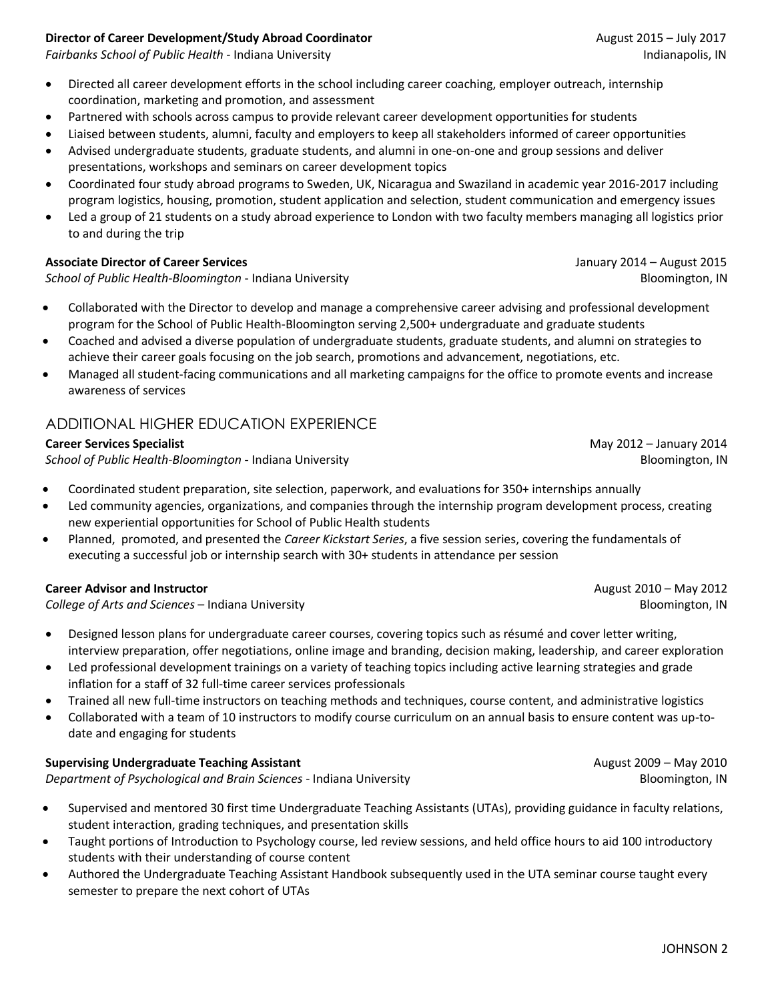#### **Director of Career Development/Study Abroad Coordinator** August 2015 – July 2017

**Fairbanks School of Public Health - Indiana University Indianapolis, IN** Indianapolis, IN

- Directed all career development efforts in the school including career coaching, employer outreach, internship coordination, marketing and promotion, and assessment
- Partnered with schools across campus to provide relevant career development opportunities for students
- Liaised between students, alumni, faculty and employers to keep all stakeholders informed of career opportunities
- Advised undergraduate students, graduate students, and alumni in one-on-one and group sessions and deliver presentations, workshops and seminars on career development topics
- Coordinated four study abroad programs to Sweden, UK, Nicaragua and Swaziland in academic year 2016-2017 including program logistics, housing, promotion, student application and selection, student communication and emergency issues
- Led a group of 21 students on a study abroad experience to London with two faculty members managing all logistics prior to and during the trip

#### **Associate Director of Career Services** January 2014 – August 2015

**School of Public Health-Bloomington - Indiana University Bloomington and Communisty Bloomington, IN** 

- Collaborated with the Director to develop and manage a comprehensive career advising and professional development program for the School of Public Health-Bloomington serving 2,500+ undergraduate and graduate students
- Coached and advised a diverse population of undergraduate students, graduate students, and alumni on strategies to achieve their career goals focusing on the job search, promotions and advancement, negotiations, etc.
- Managed all student-facing communications and all marketing campaigns for the office to promote events and increase awareness of services

# ADDITIONAL HIGHER EDUCATION EXPERIENCE

#### **Career Services Specialist**  May 2012 – January 2014

**School of Public Health-Bloomington -** Indiana University **Bloomington** Bloomington, IN

- Coordinated student preparation, site selection, paperwork, and evaluations for 350+ internships annually
- Led community agencies, organizations, and companies through the internship program development process, creating new experiential opportunities for School of Public Health students
- Planned, promoted, and presented the *Career Kickstart Series*, a five session series, covering the fundamentals of executing a successful job or internship search with 30+ students in attendance per session

#### **Career Advisor and Instructor and Instructor and August 2010 – May 2012 August 2010 – May 2012**

**College of Arts and Sciences – Indiana University Bloomington, IN** Bloomington, IN

- Designed lesson plans for undergraduate career courses, covering topics such as résumé and cover letter writing, interview preparation, offer negotiations, online image and branding, decision making, leadership, and career exploration
- Led professional development trainings on a variety of teaching topics including active learning strategies and grade inflation for a staff of 32 full-time career services professionals
- Trained all new full-time instructors on teaching methods and techniques, course content, and administrative logistics
- Collaborated with a team of 10 instructors to modify course curriculum on an annual basis to ensure content was up-todate and engaging for students

#### **Supervising Undergraduate Teaching Assistant** *August 2009 – May 2010* **<b>August 2009 – May 2010**

*Department of Psychological and Brain Sciences* - Indiana University **Bloomington, IN** Bloomington, IN

- Supervised and mentored 30 first time Undergraduate Teaching Assistants (UTAs), providing guidance in faculty relations, student interaction, grading techniques, and presentation skills
- Taught portions of Introduction to Psychology course, led review sessions, and held office hours to aid 100 introductory students with their understanding of course content
- Authored the Undergraduate Teaching Assistant Handbook subsequently used in the UTA seminar course taught every semester to prepare the next cohort of UTAs